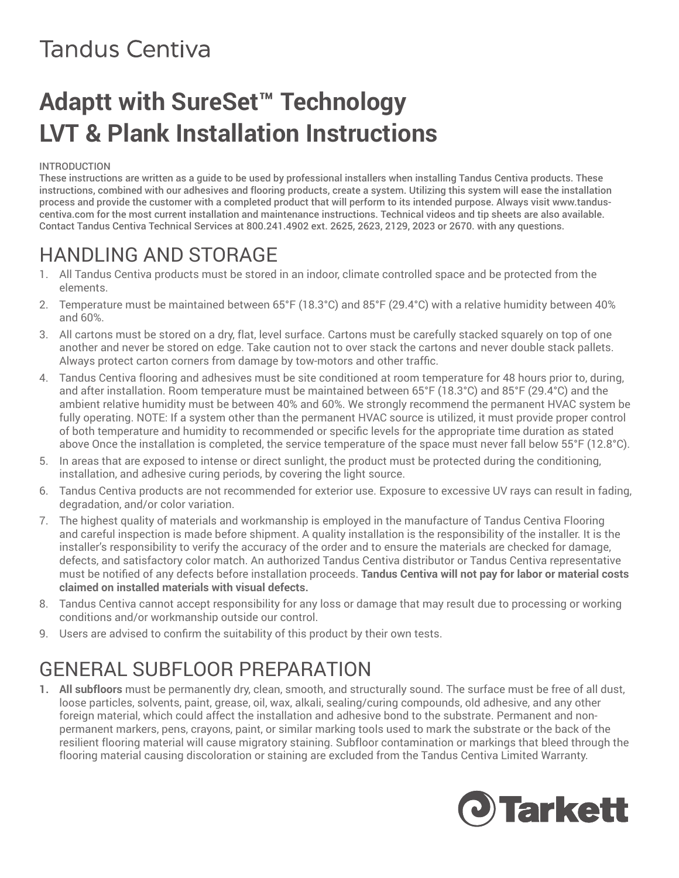# **Adaptt with SureSet™ Technology LVT & Plank Installation Instructions**

#### INTRODUCTION

These instructions are written as a guide to be used by professional installers when installing Tandus Centiva products. These instructions, combined with our adhesives and flooring products, create a system. Utilizing this system will ease the installation process and provide the customer with a completed product that will perform to its intended purpose. Always visit www.tanduscentiva.com for the most current installation and maintenance instructions. Technical videos and tip sheets are also available. Contact Tandus Centiva Technical Services at 800.241.4902 ext. 2625, 2623, 2129, 2023 or 2670. with any questions.

### HANDLING AND STORAGE

- 1. All Tandus Centiva products must be stored in an indoor, climate controlled space and be protected from the elements.
- 2. Temperature must be maintained between 65°F (18.3°C) and 85°F (29.4°C) with a relative humidity between 40% and 60%.
- 3. All cartons must be stored on a dry, flat, level surface. Cartons must be carefully stacked squarely on top of one another and never be stored on edge. Take caution not to over stack the cartons and never double stack pallets. Always protect carton corners from damage by tow-motors and other traffic.
- 4. Tandus Centiva flooring and adhesives must be site conditioned at room temperature for 48 hours prior to, during, and after installation. Room temperature must be maintained between 65°F (18.3°C) and 85°F (29.4°C) and the ambient relative humidity must be between 40% and 60%. We strongly recommend the permanent HVAC system be fully operating. NOTE: If a system other than the permanent HVAC source is utilized, it must provide proper control of both temperature and humidity to recommended or specific levels for the appropriate time duration as stated above Once the installation is completed, the service temperature of the space must never fall below 55°F (12.8°C).
- 5. In areas that are exposed to intense or direct sunlight, the product must be protected during the conditioning, installation, and adhesive curing periods, by covering the light source.
- 6. Tandus Centiva products are not recommended for exterior use. Exposure to excessive UV rays can result in fading, degradation, and/or color variation.
- 7. The highest quality of materials and workmanship is employed in the manufacture of Tandus Centiva Flooring and careful inspection is made before shipment. A quality installation is the responsibility of the installer. It is the installer's responsibility to verify the accuracy of the order and to ensure the materials are checked for damage, defects, and satisfactory color match. An authorized Tandus Centiva distributor or Tandus Centiva representative must be notified of any defects before installation proceeds. **Tandus Centiva will not pay for labor or material costs claimed on installed materials with visual defects.**
- 8. Tandus Centiva cannot accept responsibility for any loss or damage that may result due to processing or working conditions and/or workmanship outside our control.
- 9. Users are advised to confirm the suitability of this product by their own tests.

## GENERAL SUBFLOOR PREPARATION

**1. All subfloors** must be permanently dry, clean, smooth, and structurally sound. The surface must be free of all dust, loose particles, solvents, paint, grease, oil, wax, alkali, sealing/curing compounds, old adhesive, and any other foreign material, which could affect the installation and adhesive bond to the substrate. Permanent and nonpermanent markers, pens, crayons, paint, or similar marking tools used to mark the substrate or the back of the resilient flooring material will cause migratory staining. Subfloor contamination or markings that bleed through the flooring material causing discoloration or staining are excluded from the Tandus Centiva Limited Warranty.

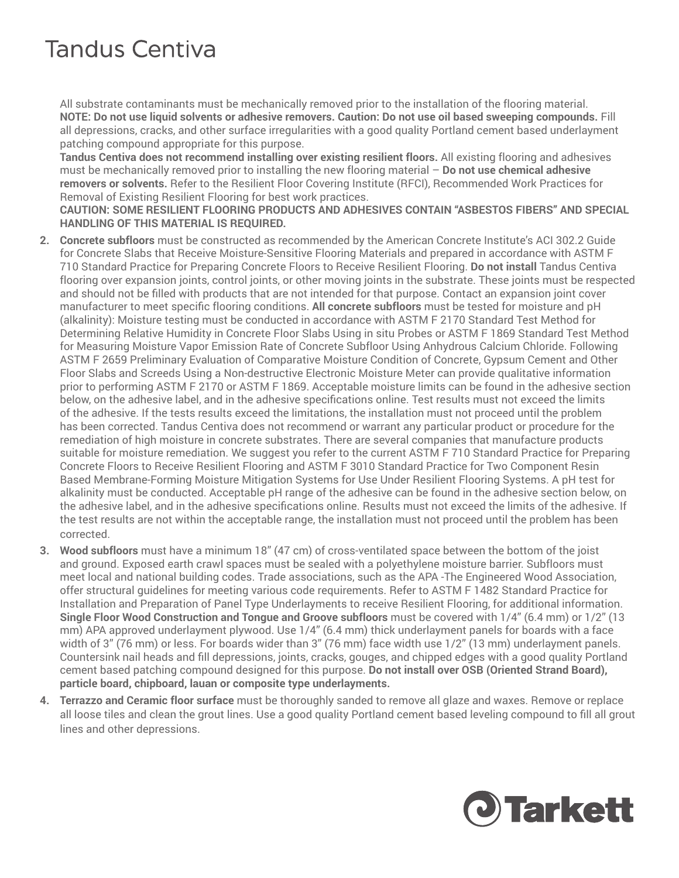All substrate contaminants must be mechanically removed prior to the installation of the flooring material. **NOTE: Do not use liquid solvents or adhesive removers. Caution: Do not use oil based sweeping compounds.** Fill all depressions, cracks, and other surface irregularities with a good quality Portland cement based underlayment patching compound appropriate for this purpose.

**Tandus Centiva does not recommend installing over existing resilient floors.** All existing flooring and adhesives must be mechanically removed prior to installing the new flooring material – **Do not use chemical adhesive removers or solvents.** Refer to the Resilient Floor Covering Institute (RFCI), Recommended Work Practices for Removal of Existing Resilient Flooring for best work practices.

**CAUTION: SOME RESILIENT FLOORING PRODUCTS AND ADHESIVES CONTAIN "ASBESTOS FIBERS" AND SPECIAL HANDLING OF THIS MATERIAL IS REQUIRED.** 

- **2. Concrete subfloors** must be constructed as recommended by the American Concrete Institute's ACI 302.2 Guide for Concrete Slabs that Receive Moisture-Sensitive Flooring Materials and prepared in accordance with ASTM F 710 Standard Practice for Preparing Concrete Floors to Receive Resilient Flooring. **Do not install** Tandus Centiva flooring over expansion joints, control joints, or other moving joints in the substrate. These joints must be respected and should not be filled with products that are not intended for that purpose. Contact an expansion joint cover manufacturer to meet specific flooring conditions. **All concrete subfloors** must be tested for moisture and pH (alkalinity): Moisture testing must be conducted in accordance with ASTM F 2170 Standard Test Method for Determining Relative Humidity in Concrete Floor Slabs Using in situ Probes or ASTM F 1869 Standard Test Method for Measuring Moisture Vapor Emission Rate of Concrete Subfloor Using Anhydrous Calcium Chloride. Following ASTM F 2659 Preliminary Evaluation of Comparative Moisture Condition of Concrete, Gypsum Cement and Other Floor Slabs and Screeds Using a Non-destructive Electronic Moisture Meter can provide qualitative information prior to performing ASTM F 2170 or ASTM F 1869. Acceptable moisture limits can be found in the adhesive section below, on the adhesive label, and in the adhesive specifications online. Test results must not exceed the limits of the adhesive. If the tests results exceed the limitations, the installation must not proceed until the problem has been corrected. Tandus Centiva does not recommend or warrant any particular product or procedure for the remediation of high moisture in concrete substrates. There are several companies that manufacture products suitable for moisture remediation. We suggest you refer to the current ASTM F 710 Standard Practice for Preparing Concrete Floors to Receive Resilient Flooring and ASTM F 3010 Standard Practice for Two Component Resin Based Membrane-Forming Moisture Mitigation Systems for Use Under Resilient Flooring Systems. A pH test for alkalinity must be conducted. Acceptable pH range of the adhesive can be found in the adhesive section below, on the adhesive label, and in the adhesive specifications online. Results must not exceed the limits of the adhesive. If the test results are not within the acceptable range, the installation must not proceed until the problem has been corrected.
- **3. Wood subfloors** must have a minimum 18" (47 cm) of cross-ventilated space between the bottom of the joist and ground. Exposed earth crawl spaces must be sealed with a polyethylene moisture barrier. Subfloors must meet local and national building codes. Trade associations, such as the APA -The Engineered Wood Association, offer structural guidelines for meeting various code requirements. Refer to ASTM F 1482 Standard Practice for Installation and Preparation of Panel Type Underlayments to receive Resilient Flooring, for additional information. **Single Floor Wood Construction and Tongue and Groove subfloors** must be covered with 1/4" (6.4 mm) or 1/2" (13 mm) APA approved underlayment plywood. Use 1/4" (6.4 mm) thick underlayment panels for boards with a face width of 3" (76 mm) or less. For boards wider than 3" (76 mm) face width use 1/2" (13 mm) underlayment panels. Countersink nail heads and fill depressions, joints, cracks, gouges, and chipped edges with a good quality Portland cement based patching compound designed for this purpose. **Do not install over OSB (Oriented Strand Board), particle board, chipboard, lauan or composite type underlayments.**
- **4. Terrazzo and Ceramic floor surface** must be thoroughly sanded to remove all glaze and waxes. Remove or replace all loose tiles and clean the grout lines. Use a good quality Portland cement based leveling compound to fill all grout lines and other depressions.

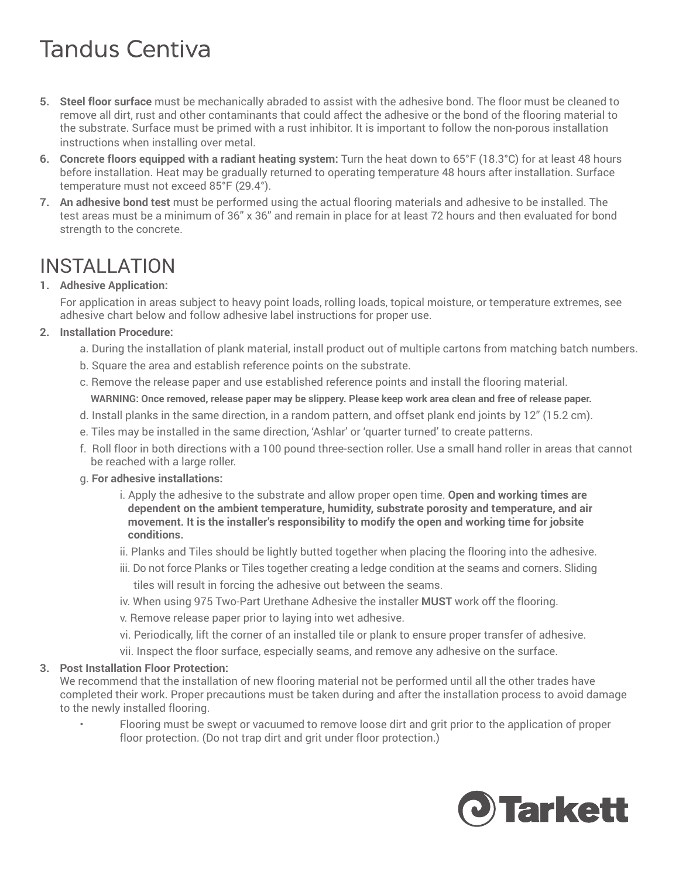- **5. Steel floor surface** must be mechanically abraded to assist with the adhesive bond. The floor must be cleaned to remove all dirt, rust and other contaminants that could affect the adhesive or the bond of the flooring material to the substrate. Surface must be primed with a rust inhibitor. It is important to follow the non-porous installation instructions when installing over metal.
- **6. Concrete floors equipped with a radiant heating system:** Turn the heat down to 65°F (18.3°C) for at least 48 hours before installation. Heat may be gradually returned to operating temperature 48 hours after installation. Surface temperature must not exceed 85°F (29.4°).
- **7. An adhesive bond test** must be performed using the actual flooring materials and adhesive to be installed. The test areas must be a minimum of 36" x 36" and remain in place for at least 72 hours and then evaluated for bond strength to the concrete.

### INSTALLATION

#### **1. Adhesive Application:**

For application in areas subject to heavy point loads, rolling loads, topical moisture, or temperature extremes, see adhesive chart below and follow adhesive label instructions for proper use.

#### **2. Installation Procedure:**

- a. During the installation of plank material, install product out of multiple cartons from matching batch numbers.
- b. Square the area and establish reference points on the substrate.
- c. Remove the release paper and use established reference points and install the flooring material. **WARNING: Once removed, release paper may be slippery. Please keep work area clean and free of release paper.**
- d. Install planks in the same direction, in a random pattern, and offset plank end joints by 12" (15.2 cm).
- e. Tiles may be installed in the same direction, 'Ashlar' or 'quarter turned' to create patterns.
- f. Roll floor in both directions with a 100 pound three-section roller. Use a small hand roller in areas that cannot be reached with a large roller.
- g. **For adhesive installations:**
	- i. Apply the adhesive to the substrate and allow proper open time. **Open and working times are dependent on the ambient temperature, humidity, substrate porosity and temperature, and air movement. It is the installer's responsibility to modify the open and working time for jobsite conditions.**
	- ii. Planks and Tiles should be lightly butted together when placing the flooring into the adhesive.
	- iii. Do not force Planks or Tiles together creating a ledge condition at the seams and corners. Sliding tiles will result in forcing the adhesive out between the seams.
	- iv. When using 975 Two-Part Urethane Adhesive the installer **MUST** work off the flooring.
	- v. Remove release paper prior to laying into wet adhesive.
	- vi. Periodically, lift the corner of an installed tile or plank to ensure proper transfer of adhesive.
	- vii. Inspect the floor surface, especially seams, and remove any adhesive on the surface.

#### **3. Post Installation Floor Protection:**

We recommend that the installation of new flooring material not be performed until all the other trades have completed their work. Proper precautions must be taken during and after the installation process to avoid damage to the newly installed flooring.

• Flooring must be swept or vacuumed to remove loose dirt and grit prior to the application of proper floor protection. (Do not trap dirt and grit under floor protection.)